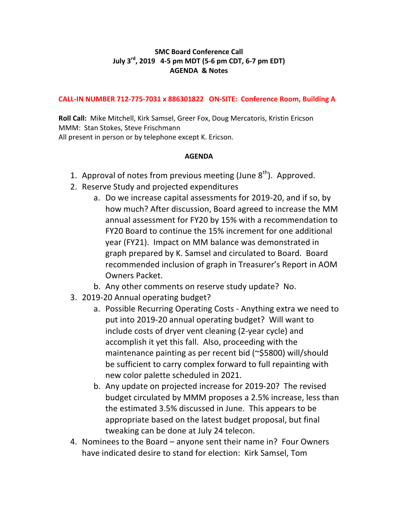## **SMC Board Conference Call July 3<sup>rd</sup>, 2019** 4-5 pm MDT (5-6 pm CDT, 6-7 pm EDT) **AGENDA & Notes**

## **CALL-IN NUMBER 712-775-7031 x 886301822 ON-SITE: Conference Room, Building A**

**Roll Call:** Mike Mitchell, Kirk Samsel, Greer Fox, Doug Mercatoris, Kristin Ericson MMM: Stan Stokes, Steve Frischmann All present in person or by telephone except K. Ericson.

## **AGENDA**

- 1. Approval of notes from previous meeting (June  $8<sup>th</sup>$ ). Approved.
- 2. Reserve Study and projected expenditures
	- a. Do we increase capital assessments for 2019-20, and if so, by how much? After discussion, Board agreed to increase the MM annual assessment for FY20 by 15% with a recommendation to FY20 Board to continue the 15% increment for one additional year (FY21). Impact on MM balance was demonstrated in graph prepared by K. Samsel and circulated to Board. Board recommended inclusion of graph in Treasurer's Report in AOM Owners Packet.
	- b. Any other comments on reserve study update? No.
- 3. 2019-20 Annual operating budget?
	- a. Possible Recurring Operating Costs Anything extra we need to put into 2019-20 annual operating budget? Will want to include costs of dryer vent cleaning (2-year cycle) and accomplish it yet this fall. Also, proceeding with the maintenance painting as per recent bid ( $\sim$ \$5800) will/should be sufficient to carry complex forward to full repainting with new color palette scheduled in 2021.
	- b. Any update on projected increase for 2019-20? The revised budget circulated by MMM proposes a 2.5% increase, less than the estimated 3.5% discussed in June. This appears to be appropriate based on the latest budget proposal, but final tweaking can be done at July 24 telecon.
- 4. Nominees to the Board  $-$  anyone sent their name in? Four Owners have indicated desire to stand for election: Kirk Samsel, Tom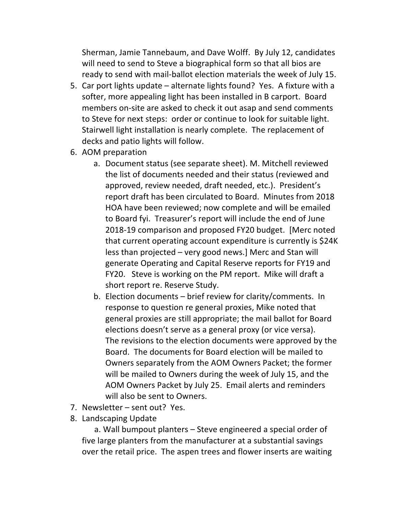Sherman, Jamie Tannebaum, and Dave Wolff. By July 12, candidates will need to send to Steve a biographical form so that all bios are ready to send with mail-ballot election materials the week of July 15.

- 5. Car port lights update  $-$  alternate lights found? Yes. A fixture with a softer, more appealing light has been installed in B carport. Board members on-site are asked to check it out asap and send comments to Steve for next steps: order or continue to look for suitable light. Stairwell light installation is nearly complete. The replacement of decks and patio lights will follow.
- 6. AOM preparation
	- a. Document status (see separate sheet). M. Mitchell reviewed the list of documents needed and their status (reviewed and approved, review needed, draft needed, etc.). President's report draft has been circulated to Board. Minutes from 2018 HOA have been reviewed; now complete and will be emailed to Board fyi. Treasurer's report will include the end of June 2018-19 comparison and proposed FY20 budget. [Merc noted that current operating account expenditure is currently is \$24K less than projected – very good news.] Merc and Stan will generate Operating and Capital Reserve reports for FY19 and FY20. Steve is working on the PM report. Mike will draft a short report re. Reserve Study.
	- b. Election documents  $-$  brief review for clarity/comments. In response to question re general proxies, Mike noted that general proxies are still appropriate; the mail ballot for Board elections doesn't serve as a general proxy (or vice versa). The revisions to the election documents were approved by the Board. The documents for Board election will be mailed to Owners separately from the AOM Owners Packet; the former will be mailed to Owners during the week of July 15, and the AOM Owners Packet by July 25. Email alerts and reminders will also be sent to Owners.
- 7. Newsletter sent out? Yes.
- 8. Landscaping Update

a. Wall bumpout planters – Steve engineered a special order of five large planters from the manufacturer at a substantial savings over the retail price. The aspen trees and flower inserts are waiting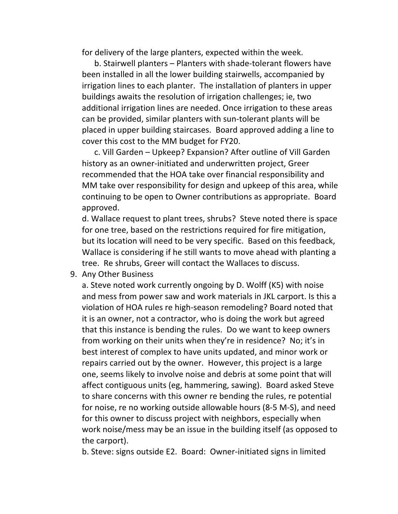for delivery of the large planters, expected within the week.

b. Stairwell planters – Planters with shade-tolerant flowers have been installed in all the lower building stairwells, accompanied by irrigation lines to each planter. The installation of planters in upper buildings awaits the resolution of irrigation challenges; ie, two additional irrigation lines are needed. Once irrigation to these areas can be provided, similar planters with sun-tolerant plants will be placed in upper building staircases. Board approved adding a line to cover this cost to the MM budget for FY20.

c. Vill Garden – Upkeep? Expansion? After outline of Vill Garden history as an owner-initiated and underwritten project, Greer recommended that the HOA take over financial responsibility and MM take over responsibility for design and upkeep of this area, while continuing to be open to Owner contributions as appropriate. Board approved.

d. Wallace request to plant trees, shrubs? Steve noted there is space for one tree, based on the restrictions required for fire mitigation, but its location will need to be very specific. Based on this feedback, Wallace is considering if he still wants to move ahead with planting a tree. Re shrubs, Greer will contact the Wallaces to discuss.

9. Any Other Business

a. Steve noted work currently ongoing by D. Wolff (K5) with noise and mess from power saw and work materials in JKL carport. Is this a violation of HOA rules re high-season remodeling? Board noted that it is an owner, not a contractor, who is doing the work but agreed that this instance is bending the rules. Do we want to keep owners from working on their units when they're in residence? No; it's in best interest of complex to have units updated, and minor work or repairs carried out by the owner. However, this project is a large one, seems likely to involve noise and debris at some point that will affect contiguous units (eg, hammering, sawing). Board asked Steve to share concerns with this owner re bending the rules, re potential for noise, re no working outside allowable hours (8-5 M-S), and need for this owner to discuss project with neighbors, especially when work noise/mess may be an issue in the building itself (as opposed to the carport).

b. Steve: signs outside E2. Board: Owner-initiated signs in limited